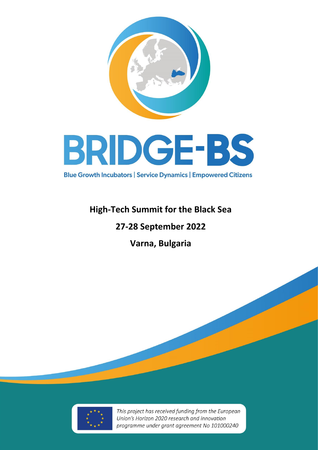

## **High-Tech Summit for the Black Sea**

# **27-28 September 2022**

**Varna, Bulgaria**



This project has received funding from the European Union's Horizon 2020 research and innovation programme under grant agreement No 101000240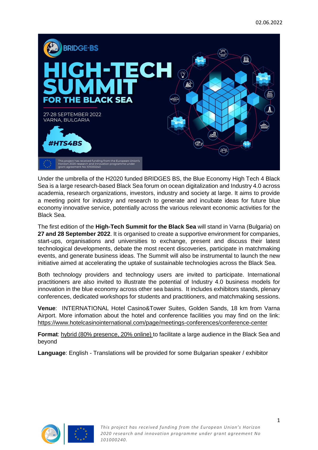

Under the umbrella of the H2020 funded BRIDGES BS, the Blue Economy High Tech 4 Black Sea is a large research-based Black Sea forum on ocean digitalization and Industry 4.0 across academia, research organizations, investors, industry and society at large. It aims to provide a meeting point for industry and research to generate and incubate ideas for future blue economy innovative service, potentially across the various relevant economic activities for the Black Sea.

The first edition of the **High-Tech Summit for the Black Sea** will stand in Varna (Bulgaria) on **27 and 28 September 2022**. It is organised to create a supportive environment for companies, start-ups, organisations and universities to exchange, present and discuss their latest technological developments, debate the most recent discoveries, participate in matchmaking events, and generate business ideas. The Summit will also be instrumental to launch the new initiative aimed at accelerating the uptake of sustainable technologies across the Black Sea.

Both technology providers and technology users are invited to participate. International practitioners are also invited to illustrate the potential of Industry 4.0 business models for innovation in the blue economy across other sea basins. It includes exhibitors stands, plenary conferences, dedicated workshops for students and practitioners, and matchmaking sessions.

**Venue**: INTERNATIONAL Hotel Casino&Tower Suites, Golden Sands, 18 km from Varna Airport. More infomation about the hotel and conference facilities you may find on the link: <https://www.hotelcasinointernational.com/page/meetings-conferences/conference-center>

**Format**: hybrid (80% presence, 20% online) to facilitate a large audience in the Black Sea and beyond

**Language**: English - Translations will be provided for some Bulgarian speaker / exhibitor

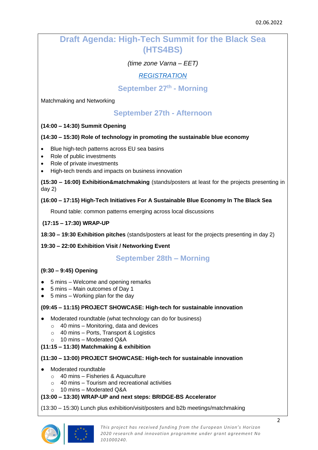## **Draft Agenda: High-Tech Summit for the Black Sea (HTS4BS)**

*(time zone Varna – EET)*

*[REGISTRATION](https://docs.google.com/forms/d/e/1FAIpQLSf-RfzuVR3vheLvvHYJ0BHZx9JDCspBA32OVY5PGMxi5JLAqQ/viewform)*

**September 27th - Morning**

Matchmaking and Networking

## **September 27th - Afternoon**

#### **(14:00 – 14:30) Summit Opening**

#### **(14:30 – 15:30) Role of technology in promoting the sustainable blue economy**

- Blue high-tech patterns across EU sea basins
- Role of public investments
- Role of private investments
- High-tech trends and impacts on business innovation

**(15:30 – 16:00) Exhibition&matchmaking** (stands/posters at least for the projects presenting in day 2)

#### **(16:00 – 17:15) High-Tech Initiatives For A Sustainable Blue Economy In The Black Sea**

Round table: common patterns emerging across local discussions

#### **(17:15 – 17:30) WRAP-UP**

**18:30 – 19:30 Exhibition pitches** (stands/posters at least for the projects presenting in day 2)

#### **19:30 – 22:00 Exhibition Visit / Networking Event**

### **September 28th – Morning**

#### **(9:30 – 9:45) Opening**

- 5 mins Welcome and opening remarks
- 5 mins Main outcomes of Day 1
- $\bullet$  5 mins Working plan for the day

#### **(09:45 – 11:15) PROJECT SHOWCASE: High-tech for sustainable innovation**

- Moderated roundtable (what technology can do for business)
	- $\circ$  40 mins Monitoring, data and devices
	- $\circ$  40 mins Ports, Transport & Logistics
	- o 10 mins Moderated Q&A

#### **(11:15 – 11:30) Matchmaking & exhibition**

#### **(11:30 – 13:00) PROJECT SHOWCASE: High-tech for sustainable innovation**

- Moderated roundtable
	- $\circ$  40 mins Fisheries & Aquaculture
	- $\circ$  40 mins Tourism and recreational activities
	- o 10 mins Moderated Q&A

#### **(13:00 – 13:30) WRAP-UP and next steps: BRIDGE-BS Accelerator**

(13:30 – 15:30) Lunch plus exhibition/visit/posters and b2b meetings/matchmaking



*This project has received funding from the European Union's Horizon 2020 research and innovation programme under grant agreement No 101000240.*